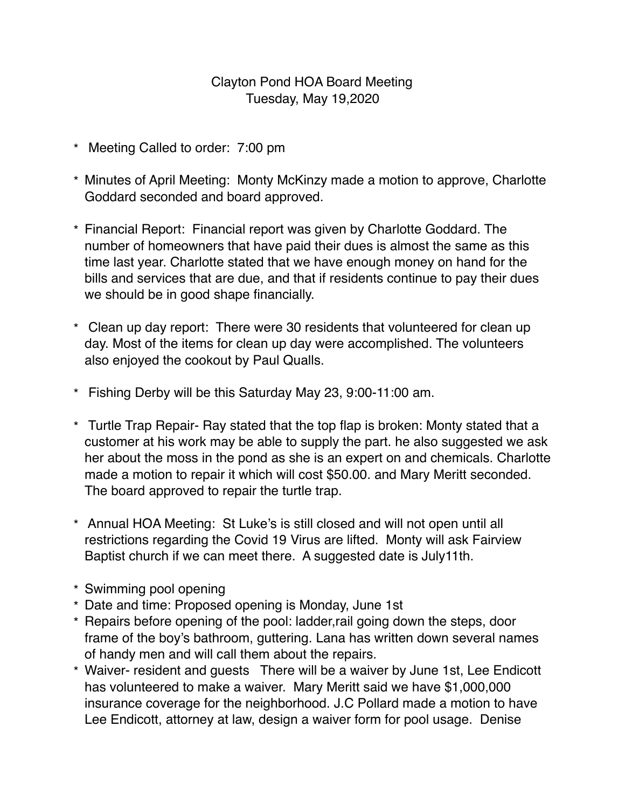## Clayton Pond HOA Board Meeting Tuesday, May 19,2020

- \* Meeting Called to order: 7:00 pm
- \* Minutes of April Meeting: Monty McKinzy made a motion to approve, Charlotte Goddard seconded and board approved.
- \* Financial Report: Financial report was given by Charlotte Goddard. The number of homeowners that have paid their dues is almost the same as this time last year. Charlotte stated that we have enough money on hand for the bills and services that are due, and that if residents continue to pay their dues we should be in good shape financially.
- \* Clean up day report: There were 30 residents that volunteered for clean up day. Most of the items for clean up day were accomplished. The volunteers also enjoyed the cookout by Paul Qualls.
- \* Fishing Derby will be this Saturday May 23, 9:00-11:00 am.
- \* Turtle Trap Repair- Ray stated that the top flap is broken: Monty stated that a customer at his work may be able to supply the part. he also suggested we ask her about the moss in the pond as she is an expert on and chemicals. Charlotte made a motion to repair it which will cost \$50.00. and Mary Meritt seconded. The board approved to repair the turtle trap.
- \* Annual HOA Meeting: St Luke's is still closed and will not open until all restrictions regarding the Covid 19 Virus are lifted. Monty will ask Fairview Baptist church if we can meet there. A suggested date is July11th.
- \* Swimming pool opening
- \* Date and time: Proposed opening is Monday, June 1st
- \* Repairs before opening of the pool: ladder,rail going down the steps, door frame of the boy's bathroom, guttering. Lana has written down several names of handy men and will call them about the repairs.
- \* Waiver- resident and guests There will be a waiver by June 1st, Lee Endicott has volunteered to make a waiver. Mary Meritt said we have \$1,000,000 insurance coverage for the neighborhood. J.C Pollard made a motion to have Lee Endicott, attorney at law, design a waiver form for pool usage. Denise